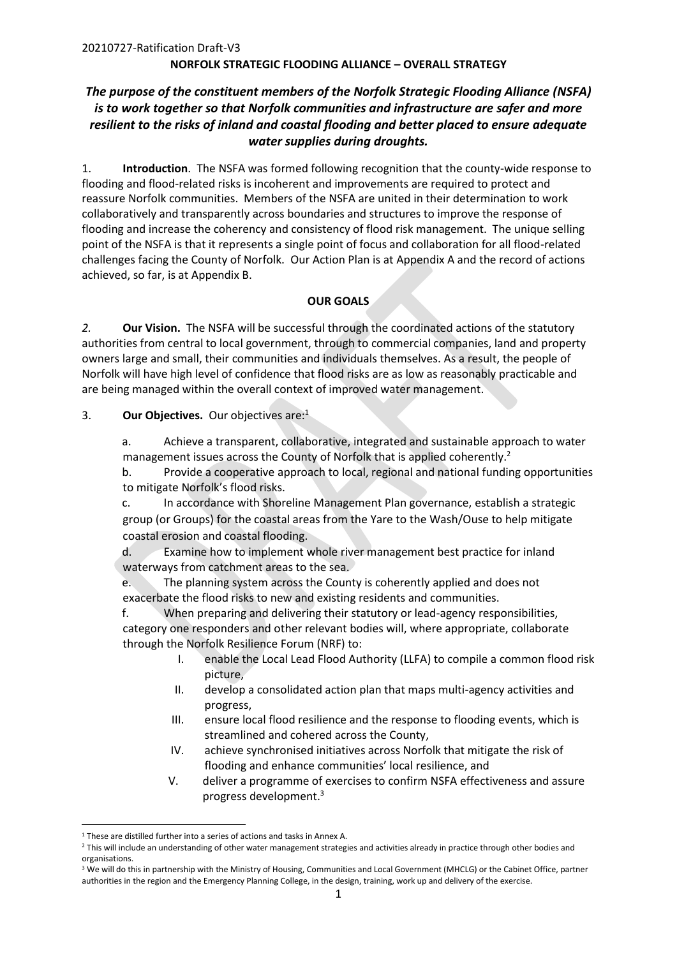# *The purpose of the constituent members of the Norfolk Strategic Flooding Alliance (NSFA) is to work together so that Norfolk communities and infrastructure are safer and more resilient to the risks of inland and coastal flooding and better placed to ensure adequate water supplies during droughts.*

1. **Introduction**. The NSFA was formed following recognition that the county-wide response to flooding and flood-related risks is incoherent and improvements are required to protect and reassure Norfolk communities. Members of the NSFA are united in their determination to work collaboratively and transparently across boundaries and structures to improve the response of flooding and increase the coherency and consistency of flood risk management. The unique selling point of the NSFA is that it represents a single point of focus and collaboration for all flood-related challenges facing the County of Norfolk. Our Action Plan is at Appendix A and the record of actions achieved, so far, is at Appendix B.

### **OUR GOALS**

*2.* **Our Vision.** The NSFA will be successful through the coordinated actions of the statutory authorities from central to local government, through to commercial companies, land and property owners large and small, their communities and individuals themselves. As a result, the people of Norfolk will have high level of confidence that flood risks are as low as reasonably practicable and are being managed within the overall context of improved water management.

3. **Our Objectives.** Our objectives are:<sup>1</sup>

a. Achieve a transparent, collaborative, integrated and sustainable approach to water management issues across the County of Norfolk that is applied coherently.<sup>2</sup>

b. Provide a cooperative approach to local, regional and national funding opportunities to mitigate Norfolk's flood risks.

c. In accordance with Shoreline Management Plan governance, establish a strategic group (or Groups) for the coastal areas from the Yare to the Wash/Ouse to help mitigate coastal erosion and coastal flooding.

d. Examine how to implement whole river management best practice for inland waterways from catchment areas to the sea.

e. The planning system across the County is coherently applied and does not exacerbate the flood risks to new and existing residents and communities.

f. When preparing and delivering their statutory or lead-agency responsibilities, category one responders and other relevant bodies will, where appropriate, collaborate through the Norfolk Resilience Forum (NRF) to:

- I. enable the Local Lead Flood Authority (LLFA) to compile a common flood risk picture,
- II. develop a consolidated action plan that maps multi-agency activities and progress,
- III. ensure local flood resilience and the response to flooding events, which is streamlined and cohered across the County,
- IV. achieve synchronised initiatives across Norfolk that mitigate the risk of flooding and enhance communities' local resilience, and
- V. deliver a programme of exercises to confirm NSFA effectiveness and assure progress development. 3

<sup>1</sup> These are distilled further into a series of actions and tasks in Annex A.

<sup>&</sup>lt;sup>2</sup> This will include an understanding of other water management strategies and activities already in practice through other bodies and organisations.

<sup>&</sup>lt;sup>3</sup> We will do this in partnership with the Ministry of Housing, Communities and Local Government (MHCLG) or the Cabinet Office, partner authorities in the region and the Emergency Planning College, in the design, training, work up and delivery of the exercise.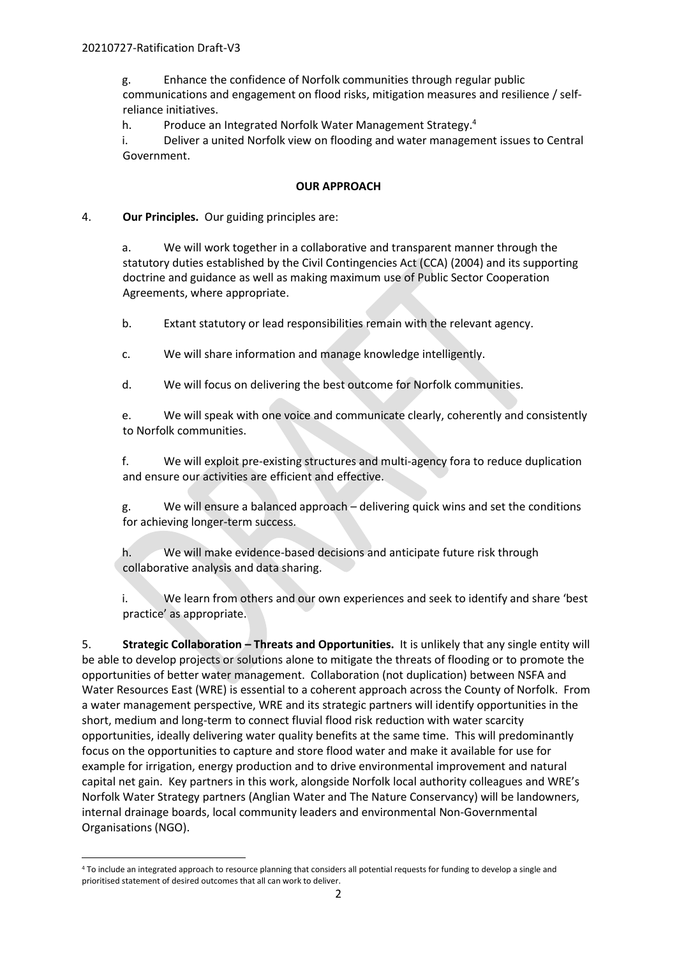g. Enhance the confidence of Norfolk communities through regular public communications and engagement on flood risks, mitigation measures and resilience / selfreliance initiatives.

h. Produce an Integrated Norfolk Water Management Strategy.<sup>4</sup>

i. Deliver a united Norfolk view on flooding and water management issues to Central Government.

### **OUR APPROACH**

### 4. **Our Principles.** Our guiding principles are:

a. We will work together in a collaborative and transparent manner through the statutory duties established by the Civil Contingencies Act (CCA) (2004) and its supporting doctrine and guidance as well as making maximum use of Public Sector Cooperation Agreements, where appropriate.

b. Extant statutory or lead responsibilities remain with the relevant agency.

c. We will share information and manage knowledge intelligently.

d. We will focus on delivering the best outcome for Norfolk communities.

e. We will speak with one voice and communicate clearly, coherently and consistently to Norfolk communities.

f. We will exploit pre-existing structures and multi-agency fora to reduce duplication and ensure our activities are efficient and effective.

g. We will ensure a balanced approach – delivering quick wins and set the conditions for achieving longer-term success.

h. We will make evidence-based decisions and anticipate future risk through collaborative analysis and data sharing.

i. We learn from others and our own experiences and seek to identify and share 'best practice' as appropriate.

5. **Strategic Collaboration – Threats and Opportunities.** It is unlikely that any single entity will be able to develop projects or solutions alone to mitigate the threats of flooding or to promote the opportunities of better water management. Collaboration (not duplication) between NSFA and Water Resources East (WRE) is essential to a coherent approach across the County of Norfolk. From a water management perspective, WRE and its strategic partners will identify opportunities in the short, medium and long-term to connect fluvial flood risk reduction with water scarcity opportunities, ideally delivering water quality benefits at the same time. This will predominantly focus on the opportunities to capture and store flood water and make it available for use for example for irrigation, energy production and to drive environmental improvement and natural capital net gain. Key partners in this work, alongside Norfolk local authority colleagues and WRE's Norfolk Water Strategy partners (Anglian Water and The Nature Conservancy) will be landowners, internal drainage boards, local community leaders and environmental Non-Governmental Organisations (NGO).

<sup>4</sup> To include an integrated approach to resource planning that considers all potential requests for funding to develop a single and prioritised statement of desired outcomes that all can work to deliver.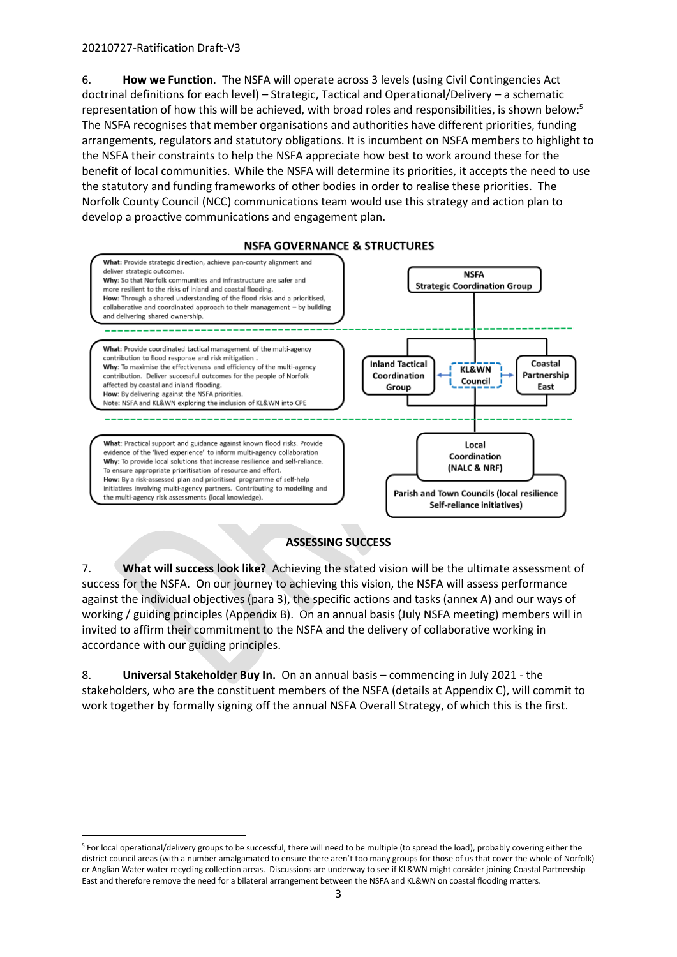6. **How we Function**. The NSFA will operate across 3 levels (using Civil Contingencies Act doctrinal definitions for each level) – Strategic, Tactical and Operational/Delivery – a schematic representation of how this will be achieved, with broad roles and responsibilities, is shown below: 5 The NSFA recognises that member organisations and authorities have different priorities, funding arrangements, regulators and statutory obligations. It is incumbent on NSFA members to highlight to the NSFA their constraints to help the NSFA appreciate how best to work around these for the benefit of local communities. While the NSFA will determine its priorities, it accepts the need to use the statutory and funding frameworks of other bodies in order to realise these priorities. The Norfolk County Council (NCC) communications team would use this strategy and action plan to develop a proactive communications and engagement plan.



### **NSFA GOVERNANCE & STRUCTURES**

### **ASSESSING SUCCESS**

7. **What will success look like?** Achieving the stated vision will be the ultimate assessment of success for the NSFA. On our journey to achieving this vision, the NSFA will assess performance against the individual objectives (para 3), the specific actions and tasks (annex A) and our ways of working / guiding principles (Appendix B). On an annual basis (July NSFA meeting) members will in invited to affirm their commitment to the NSFA and the delivery of collaborative working in accordance with our guiding principles.

8. **Universal Stakeholder Buy In.** On an annual basis – commencing in July 2021 - the stakeholders, who are the constituent members of the NSFA (details at Appendix C), will commit to work together by formally signing off the annual NSFA Overall Strategy, of which this is the first.

<sup>5</sup> For local operational/delivery groups to be successful, there will need to be multiple (to spread the load), probably covering either the district council areas (with a number amalgamated to ensure there aren't too many groups for those of us that cover the whole of Norfolk) or Anglian Water water recycling collection areas. Discussions are underway to see if KL&WN might consider joining Coastal Partnership East and therefore remove the need for a bilateral arrangement between the NSFA and KL&WN on coastal flooding matters.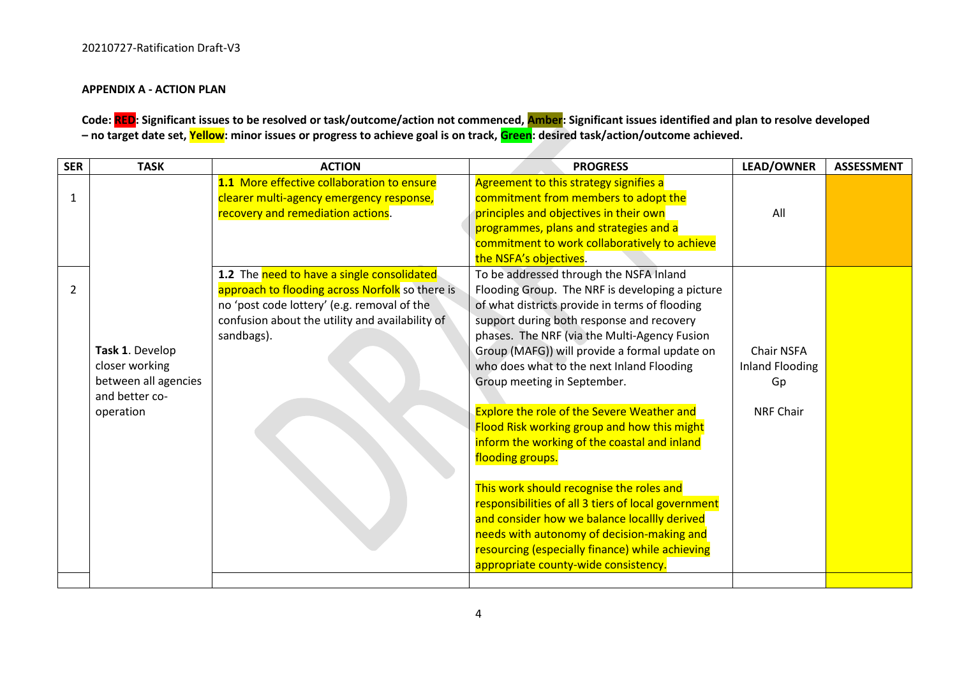### **APPENDIX A - ACTION PLAN**

# **Code: RED: Significant issues to be resolved or task/outcome/action not commenced, Amber: Significant issues identified and plan to resolve developed – no target date set, Yellow: minor issues or progress to achieve goal is on track, Green: desired task/action/outcome achieved.**

| <b>SER</b>   | <b>TASK</b>          | <b>ACTION</b>                                   | <b>PROGRESS</b>                                     | <b>LEAD/OWNER</b>      | <b>ASSESSMENT</b> |
|--------------|----------------------|-------------------------------------------------|-----------------------------------------------------|------------------------|-------------------|
|              |                      | 1.1 More effective collaboration to ensure      | Agreement to this strategy signifies a              |                        |                   |
| $\mathbf{1}$ |                      | clearer multi-agency emergency response,        | commitment from members to adopt the                |                        |                   |
|              |                      | recovery and remediation actions.               | principles and objectives in their own              | All                    |                   |
|              |                      |                                                 | programmes, plans and strategies and a              |                        |                   |
|              |                      |                                                 | commitment to work collaboratively to achieve       |                        |                   |
|              |                      |                                                 | the NSFA's objectives.                              |                        |                   |
|              |                      | 1.2 The need to have a single consolidated      | To be addressed through the NSFA Inland             |                        |                   |
| 2            |                      | approach to flooding across Norfolk so there is | Flooding Group. The NRF is developing a picture     |                        |                   |
|              |                      | no 'post code lottery' (e.g. removal of the     | of what districts provide in terms of flooding      |                        |                   |
|              |                      | confusion about the utility and availability of | support during both response and recovery           |                        |                   |
|              |                      | sandbags).                                      | phases. The NRF (via the Multi-Agency Fusion        |                        |                   |
|              | Task 1. Develop      |                                                 | Group (MAFG)) will provide a formal update on       | Chair NSFA             |                   |
|              | closer working       |                                                 | who does what to the next Inland Flooding           | <b>Inland Flooding</b> |                   |
|              | between all agencies |                                                 | Group meeting in September.                         | Gp                     |                   |
|              | and better co-       |                                                 |                                                     |                        |                   |
|              | operation            |                                                 | <b>Explore the role of the Severe Weather and</b>   | <b>NRF Chair</b>       |                   |
|              |                      |                                                 | Flood Risk working group and how this might         |                        |                   |
|              |                      |                                                 | inform the working of the coastal and inland        |                        |                   |
|              |                      |                                                 | flooding groups.                                    |                        |                   |
|              |                      |                                                 |                                                     |                        |                   |
|              |                      |                                                 | This work should recognise the roles and            |                        |                   |
|              |                      |                                                 | responsibilities of all 3 tiers of local government |                        |                   |
|              |                      |                                                 | and consider how we balance locallly derived        |                        |                   |
|              |                      |                                                 | needs with autonomy of decision-making and          |                        |                   |
|              |                      |                                                 | resourcing (especially finance) while achieving     |                        |                   |
|              |                      |                                                 | appropriate county-wide consistency.                |                        |                   |
|              |                      |                                                 |                                                     |                        |                   |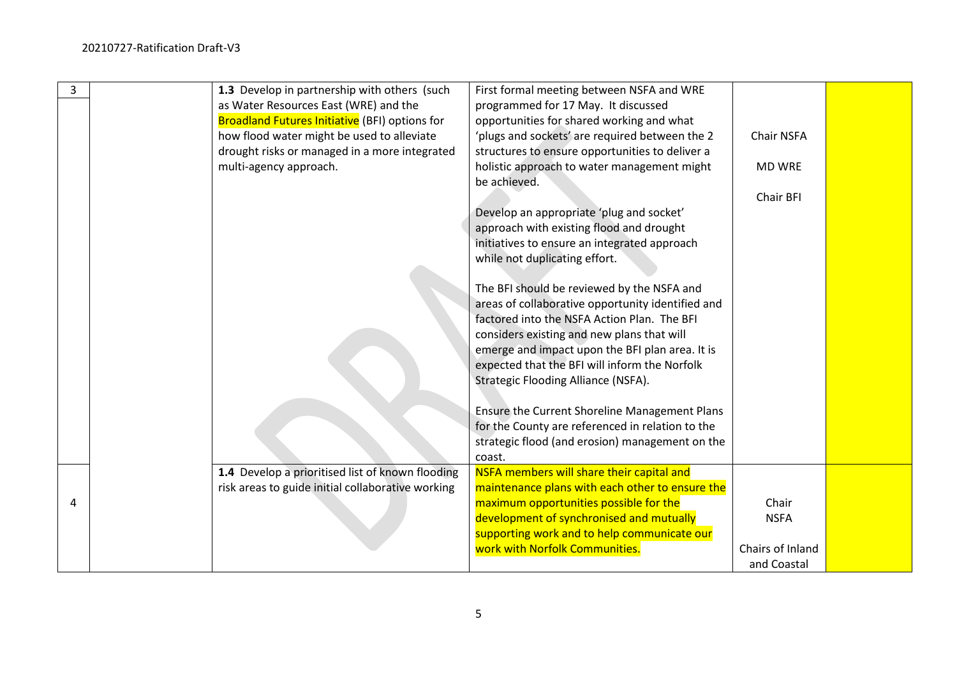| 3 | 1.3 Develop in partnership with others (such          | First formal meeting between NSFA and WRE         |                  |  |
|---|-------------------------------------------------------|---------------------------------------------------|------------------|--|
|   | as Water Resources East (WRE) and the                 | programmed for 17 May. It discussed               |                  |  |
|   | <b>Broadland Futures Initiative</b> (BFI) options for | opportunities for shared working and what         |                  |  |
|   | how flood water might be used to alleviate            | 'plugs and sockets' are required between the 2    | Chair NSFA       |  |
|   | drought risks or managed in a more integrated         | structures to ensure opportunities to deliver a   |                  |  |
|   | multi-agency approach.                                | holistic approach to water management might       | <b>MD WRE</b>    |  |
|   |                                                       | be achieved.                                      |                  |  |
|   |                                                       |                                                   | Chair BFI        |  |
|   |                                                       | Develop an appropriate 'plug and socket'          |                  |  |
|   |                                                       | approach with existing flood and drought          |                  |  |
|   |                                                       | initiatives to ensure an integrated approach      |                  |  |
|   |                                                       | while not duplicating effort.                     |                  |  |
|   |                                                       |                                                   |                  |  |
|   |                                                       | The BFI should be reviewed by the NSFA and        |                  |  |
|   |                                                       | areas of collaborative opportunity identified and |                  |  |
|   |                                                       | factored into the NSFA Action Plan. The BFI       |                  |  |
|   |                                                       | considers existing and new plans that will        |                  |  |
|   |                                                       | emerge and impact upon the BFI plan area. It is   |                  |  |
|   |                                                       | expected that the BFI will inform the Norfolk     |                  |  |
|   |                                                       | Strategic Flooding Alliance (NSFA).               |                  |  |
|   |                                                       |                                                   |                  |  |
|   |                                                       | Ensure the Current Shoreline Management Plans     |                  |  |
|   |                                                       | for the County are referenced in relation to the  |                  |  |
|   |                                                       | strategic flood (and erosion) management on the   |                  |  |
|   |                                                       | coast.                                            |                  |  |
|   | 1.4 Develop a prioritised list of known flooding      | NSFA members will share their capital and         |                  |  |
|   | risk areas to guide initial collaborative working     | maintenance plans with each other to ensure the   |                  |  |
| 4 |                                                       | maximum opportunities possible for the            | Chair            |  |
|   |                                                       | development of synchronised and mutually          | <b>NSFA</b>      |  |
|   |                                                       | supporting work and to help communicate our       |                  |  |
|   |                                                       | work with Norfolk Communities.                    | Chairs of Inland |  |
|   |                                                       |                                                   | and Coastal      |  |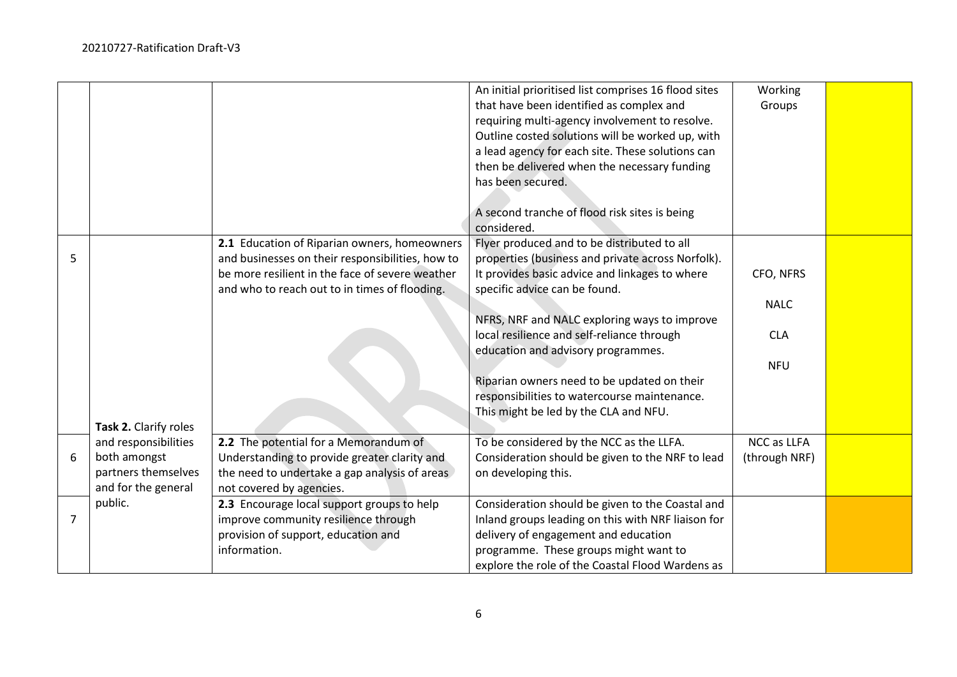|   |                                                                                    |                                                                                                                                                                                                      | An initial prioritised list comprises 16 flood sites<br>that have been identified as complex and<br>requiring multi-agency involvement to resolve.<br>Outline costed solutions will be worked up, with<br>a lead agency for each site. These solutions can<br>then be delivered when the necessary funding<br>has been secured.<br>A second tranche of flood risk sites is being<br>considered.                                                                 | Working<br>Groups                                    |  |
|---|------------------------------------------------------------------------------------|------------------------------------------------------------------------------------------------------------------------------------------------------------------------------------------------------|-----------------------------------------------------------------------------------------------------------------------------------------------------------------------------------------------------------------------------------------------------------------------------------------------------------------------------------------------------------------------------------------------------------------------------------------------------------------|------------------------------------------------------|--|
| 5 | Task 2. Clarify roles                                                              | 2.1 Education of Riparian owners, homeowners<br>and businesses on their responsibilities, how to<br>be more resilient in the face of severe weather<br>and who to reach out to in times of flooding. | Flyer produced and to be distributed to all<br>properties (business and private across Norfolk).<br>It provides basic advice and linkages to where<br>specific advice can be found.<br>NFRS, NRF and NALC exploring ways to improve<br>local resilience and self-reliance through<br>education and advisory programmes.<br>Riparian owners need to be updated on their<br>responsibilities to watercourse maintenance.<br>This might be led by the CLA and NFU. | CFO, NFRS<br><b>NALC</b><br><b>CLA</b><br><b>NFU</b> |  |
| 6 | and responsibilities<br>both amongst<br>partners themselves<br>and for the general | 2.2 The potential for a Memorandum of<br>Understanding to provide greater clarity and<br>the need to undertake a gap analysis of areas<br>not covered by agencies.                                   | To be considered by the NCC as the LLFA.<br>Consideration should be given to the NRF to lead<br>on developing this.                                                                                                                                                                                                                                                                                                                                             | NCC as LLFA<br>(through NRF)                         |  |
| 7 | public.                                                                            | 2.3 Encourage local support groups to help<br>improve community resilience through<br>provision of support, education and<br>information.                                                            | Consideration should be given to the Coastal and<br>Inland groups leading on this with NRF liaison for<br>delivery of engagement and education<br>programme. These groups might want to<br>explore the role of the Coastal Flood Wardens as                                                                                                                                                                                                                     |                                                      |  |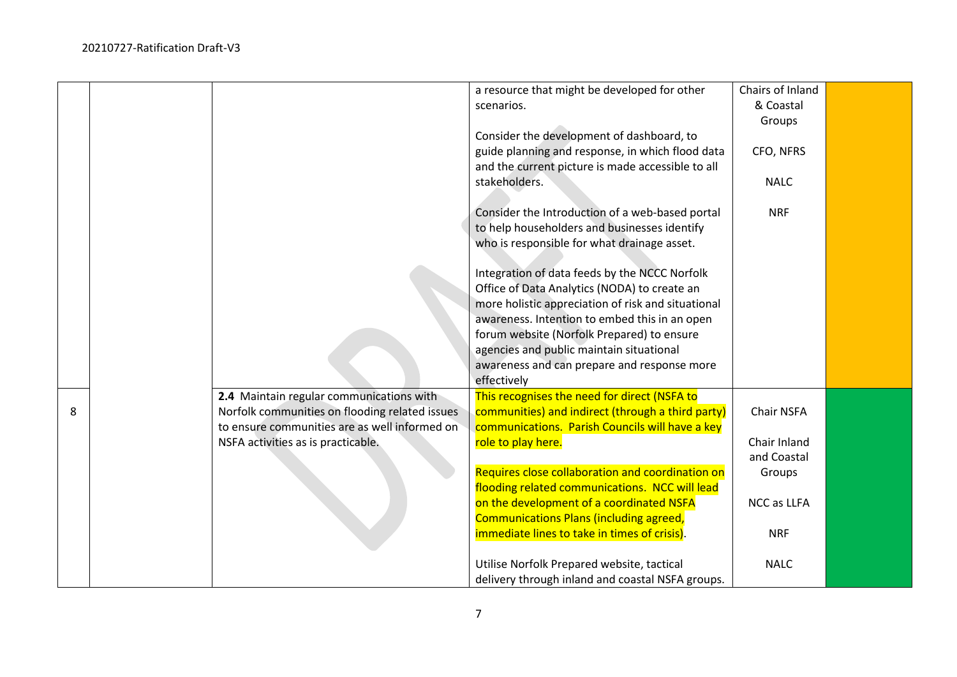|   |                                                | a resource that might be developed for other       | Chairs of Inland |  |
|---|------------------------------------------------|----------------------------------------------------|------------------|--|
|   |                                                | scenarios.                                         | & Coastal        |  |
|   |                                                |                                                    | Groups           |  |
|   |                                                | Consider the development of dashboard, to          |                  |  |
|   |                                                | guide planning and response, in which flood data   | CFO, NFRS        |  |
|   |                                                | and the current picture is made accessible to all  |                  |  |
|   |                                                | stakeholders.                                      | <b>NALC</b>      |  |
|   |                                                |                                                    |                  |  |
|   |                                                | Consider the Introduction of a web-based portal    | <b>NRF</b>       |  |
|   |                                                | to help householders and businesses identify       |                  |  |
|   |                                                | who is responsible for what drainage asset.        |                  |  |
|   |                                                |                                                    |                  |  |
|   |                                                | Integration of data feeds by the NCCC Norfolk      |                  |  |
|   |                                                | Office of Data Analytics (NODA) to create an       |                  |  |
|   |                                                | more holistic appreciation of risk and situational |                  |  |
|   |                                                | awareness. Intention to embed this in an open      |                  |  |
|   |                                                | forum website (Norfolk Prepared) to ensure         |                  |  |
|   |                                                | agencies and public maintain situational           |                  |  |
|   |                                                | awareness and can prepare and response more        |                  |  |
|   |                                                | effectively                                        |                  |  |
|   | 2.4 Maintain regular communications with       | This recognises the need for direct (NSFA to       |                  |  |
| 8 | Norfolk communities on flooding related issues | communities) and indirect (through a third party)  | Chair NSFA       |  |
|   | to ensure communities are as well informed on  | communications. Parish Councils will have a key    |                  |  |
|   | NSFA activities as is practicable.             | role to play here.                                 | Chair Inland     |  |
|   |                                                |                                                    | and Coastal      |  |
|   |                                                | Requires close collaboration and coordination on   | Groups           |  |
|   |                                                | flooding related communications. NCC will lead     |                  |  |
|   |                                                | on the development of a coordinated NSFA           | NCC as LLFA      |  |
|   |                                                | <b>Communications Plans (including agreed,</b>     |                  |  |
|   |                                                | immediate lines to take in times of crisis).       | <b>NRF</b>       |  |
|   |                                                | Utilise Norfolk Prepared website, tactical         | <b>NALC</b>      |  |
|   |                                                | delivery through inland and coastal NSFA groups.   |                  |  |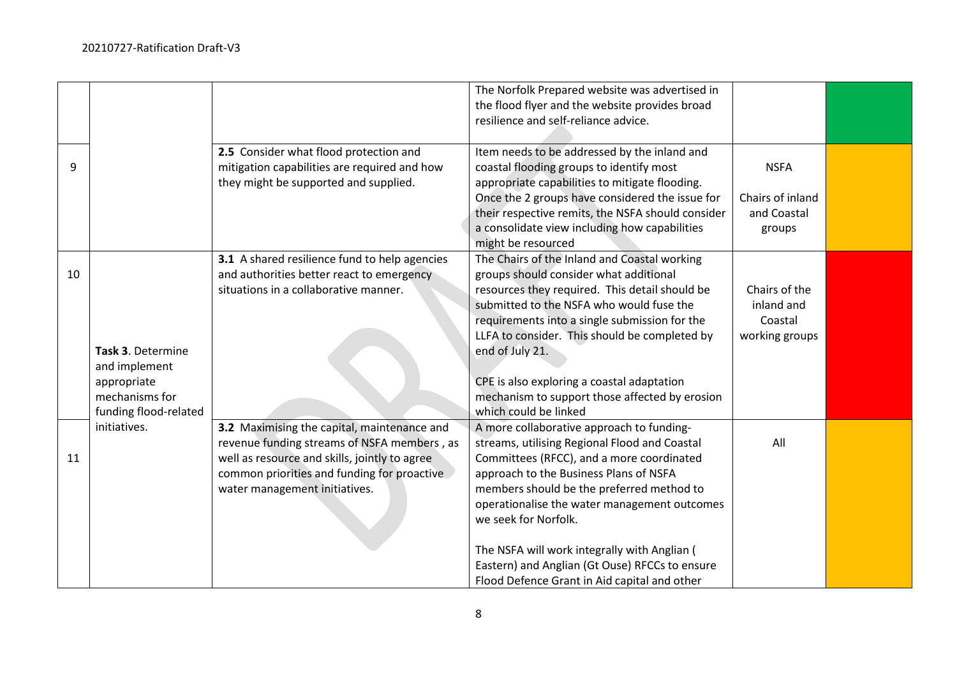|    |                       |                                               | The Norfolk Prepared website was advertised in    |                  |  |
|----|-----------------------|-----------------------------------------------|---------------------------------------------------|------------------|--|
|    |                       |                                               | the flood flyer and the website provides broad    |                  |  |
|    |                       |                                               | resilience and self-reliance advice.              |                  |  |
|    |                       |                                               |                                                   |                  |  |
|    |                       | 2.5 Consider what flood protection and        | Item needs to be addressed by the inland and      |                  |  |
| 9  |                       | mitigation capabilities are required and how  | coastal flooding groups to identify most          | <b>NSFA</b>      |  |
|    |                       | they might be supported and supplied.         | appropriate capabilities to mitigate flooding.    |                  |  |
|    |                       |                                               | Once the 2 groups have considered the issue for   | Chairs of inland |  |
|    |                       |                                               | their respective remits, the NSFA should consider | and Coastal      |  |
|    |                       |                                               | a consolidate view including how capabilities     | groups           |  |
|    |                       |                                               | might be resourced                                |                  |  |
|    |                       | 3.1 A shared resilience fund to help agencies | The Chairs of the Inland and Coastal working      |                  |  |
| 10 |                       | and authorities better react to emergency     | groups should consider what additional            |                  |  |
|    |                       | situations in a collaborative manner.         | resources they required. This detail should be    | Chairs of the    |  |
|    |                       |                                               | submitted to the NSFA who would fuse the          | inland and       |  |
|    |                       |                                               | requirements into a single submission for the     | Coastal          |  |
|    |                       |                                               | LLFA to consider. This should be completed by     | working groups   |  |
|    | Task 3. Determine     |                                               | end of July 21.                                   |                  |  |
|    | and implement         |                                               |                                                   |                  |  |
|    | appropriate           |                                               | CPE is also exploring a coastal adaptation        |                  |  |
|    | mechanisms for        |                                               | mechanism to support those affected by erosion    |                  |  |
|    | funding flood-related |                                               | which could be linked                             |                  |  |
|    | initiatives.          | 3.2 Maximising the capital, maintenance and   | A more collaborative approach to funding-         |                  |  |
|    |                       | revenue funding streams of NSFA members, as   | streams, utilising Regional Flood and Coastal     | All              |  |
| 11 |                       | well as resource and skills, jointly to agree | Committees (RFCC), and a more coordinated         |                  |  |
|    |                       | common priorities and funding for proactive   | approach to the Business Plans of NSFA            |                  |  |
|    |                       | water management initiatives.                 | members should be the preferred method to         |                  |  |
|    |                       |                                               | operationalise the water management outcomes      |                  |  |
|    |                       |                                               | we seek for Norfolk.                              |                  |  |
|    |                       |                                               |                                                   |                  |  |
|    |                       |                                               | The NSFA will work integrally with Anglian (      |                  |  |
|    |                       |                                               | Eastern) and Anglian (Gt Ouse) RFCCs to ensure    |                  |  |
|    |                       |                                               | Flood Defence Grant in Aid capital and other      |                  |  |
|    |                       |                                               |                                                   |                  |  |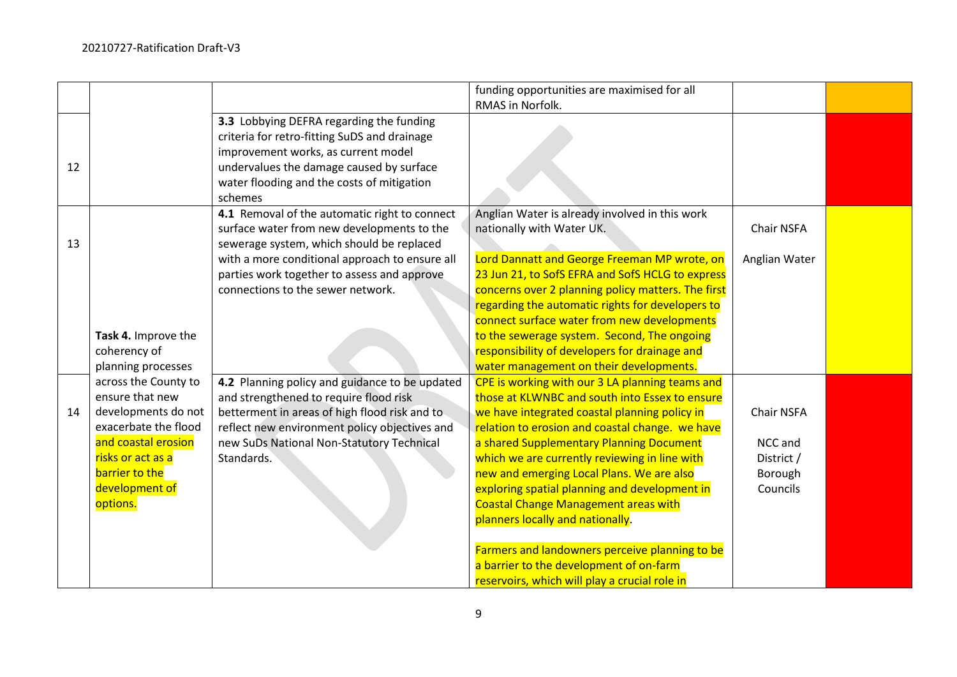|    |                                                                                                                                                                                    |                                                                                                                                                                                                                                                                                | funding opportunities are maximised for all<br>RMAS in Norfolk.                                                                                                                                                                                                                                                                                                                                                                                                                     |                                                            |  |
|----|------------------------------------------------------------------------------------------------------------------------------------------------------------------------------------|--------------------------------------------------------------------------------------------------------------------------------------------------------------------------------------------------------------------------------------------------------------------------------|-------------------------------------------------------------------------------------------------------------------------------------------------------------------------------------------------------------------------------------------------------------------------------------------------------------------------------------------------------------------------------------------------------------------------------------------------------------------------------------|------------------------------------------------------------|--|
| 12 |                                                                                                                                                                                    | 3.3 Lobbying DEFRA regarding the funding<br>criteria for retro-fitting SuDS and drainage<br>improvement works, as current model<br>undervalues the damage caused by surface<br>water flooding and the costs of mitigation<br>schemes                                           |                                                                                                                                                                                                                                                                                                                                                                                                                                                                                     |                                                            |  |
| 13 |                                                                                                                                                                                    | 4.1 Removal of the automatic right to connect<br>surface water from new developments to the<br>sewerage system, which should be replaced<br>with a more conditional approach to ensure all<br>parties work together to assess and approve<br>connections to the sewer network. | Anglian Water is already involved in this work<br>nationally with Water UK.<br>Lord Dannatt and George Freeman MP wrote, on<br>23 Jun 21, to SofS EFRA and SofS HCLG to express<br>concerns over 2 planning policy matters. The first                                                                                                                                                                                                                                               | Chair NSFA<br>Anglian Water                                |  |
|    | Task 4. Improve the<br>coherency of<br>planning processes                                                                                                                          |                                                                                                                                                                                                                                                                                | regarding the automatic rights for developers to<br>connect surface water from new developments<br>to the sewerage system. Second, The ongoing<br>responsibility of developers for drainage and<br>water management on their developments.                                                                                                                                                                                                                                          |                                                            |  |
| 14 | across the County to<br>ensure that new<br>developments do not<br>exacerbate the flood<br>and coastal erosion<br>risks or act as a<br>barrier to the<br>development of<br>options. | 4.2 Planning policy and guidance to be updated<br>and strengthened to require flood risk<br>betterment in areas of high flood risk and to<br>reflect new environment policy objectives and<br>new SuDs National Non-Statutory Technical<br>Standards.                          | CPE is working with our 3 LA planning teams and<br>those at KLWNBC and south into Essex to ensure<br>we have integrated coastal planning policy in<br>relation to erosion and coastal change. we have<br>a shared Supplementary Planning Document<br>which we are currently reviewing in line with<br>new and emerging Local Plans. We are also<br>exploring spatial planning and development in<br><b>Coastal Change Management areas with</b><br>planners locally and nationally. | Chair NSFA<br>NCC and<br>District /<br>Borough<br>Councils |  |
|    |                                                                                                                                                                                    |                                                                                                                                                                                                                                                                                | Farmers and landowners perceive planning to be<br>a barrier to the development of on-farm<br>reservoirs, which will play a crucial role in                                                                                                                                                                                                                                                                                                                                          |                                                            |  |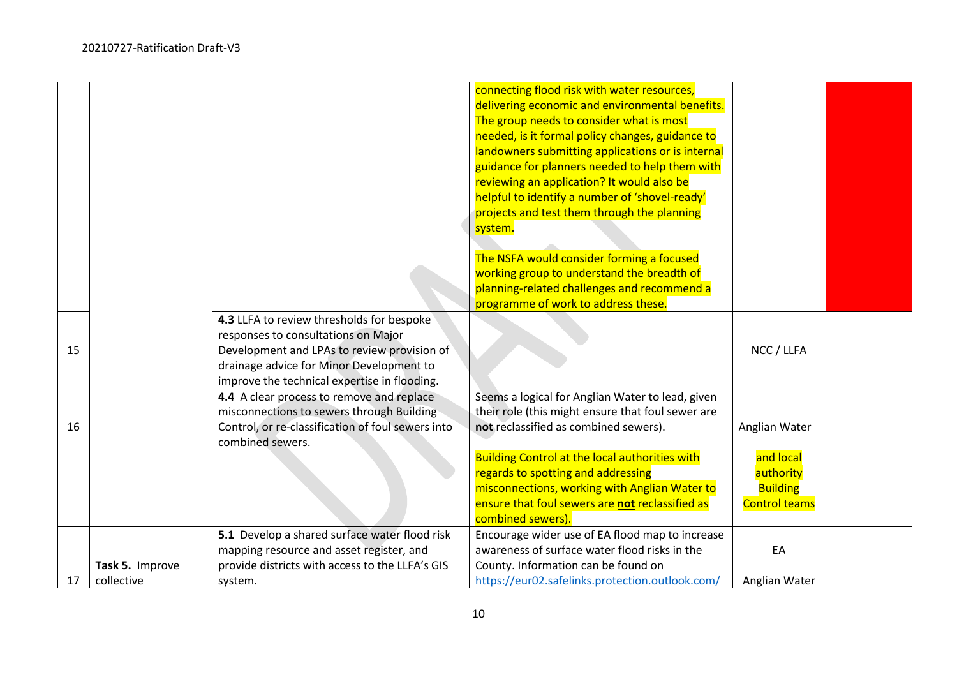|    |                               |                                                                                                                                                                                                                             | connecting flood risk with water resources,<br>delivering economic and environmental benefits.<br>The group needs to consider what is most<br>needed, is it formal policy changes, guidance to<br>landowners submitting applications or is internal<br>guidance for planners needed to help them with<br>reviewing an application? It would also be<br>helpful to identify a number of 'shovel-ready'<br>projects and test them through the planning<br>system.<br>The NSFA would consider forming a focused<br>working group to understand the breadth of<br>planning-related challenges and recommend a<br>programme of work to address these. |                                                                                    |  |
|----|-------------------------------|-----------------------------------------------------------------------------------------------------------------------------------------------------------------------------------------------------------------------------|--------------------------------------------------------------------------------------------------------------------------------------------------------------------------------------------------------------------------------------------------------------------------------------------------------------------------------------------------------------------------------------------------------------------------------------------------------------------------------------------------------------------------------------------------------------------------------------------------------------------------------------------------|------------------------------------------------------------------------------------|--|
| 15 |                               | 4.3 LLFA to review thresholds for bespoke<br>responses to consultations on Major<br>Development and LPAs to review provision of<br>drainage advice for Minor Development to<br>improve the technical expertise in flooding. |                                                                                                                                                                                                                                                                                                                                                                                                                                                                                                                                                                                                                                                  | NCC / LLFA                                                                         |  |
| 16 |                               | 4.4 A clear process to remove and replace<br>misconnections to sewers through Building<br>Control, or re-classification of foul sewers into<br>combined sewers.                                                             | Seems a logical for Anglian Water to lead, given<br>their role (this might ensure that foul sewer are<br>not reclassified as combined sewers).<br><b>Building Control at the local authorities with</b><br>regards to spotting and addressing<br>misconnections, working with Anglian Water to<br>ensure that foul sewers are not reclassified as<br>combined sewers).                                                                                                                                                                                                                                                                           | Anglian Water<br>and local<br>authority<br><b>Building</b><br><b>Control teams</b> |  |
| 17 | Task 5. Improve<br>collective | 5.1 Develop a shared surface water flood risk<br>mapping resource and asset register, and<br>provide districts with access to the LLFA's GIS<br>system.                                                                     | Encourage wider use of EA flood map to increase<br>awareness of surface water flood risks in the<br>County. Information can be found on<br>https://eur02.safelinks.protection.outlook.com/                                                                                                                                                                                                                                                                                                                                                                                                                                                       | EA<br>Anglian Water                                                                |  |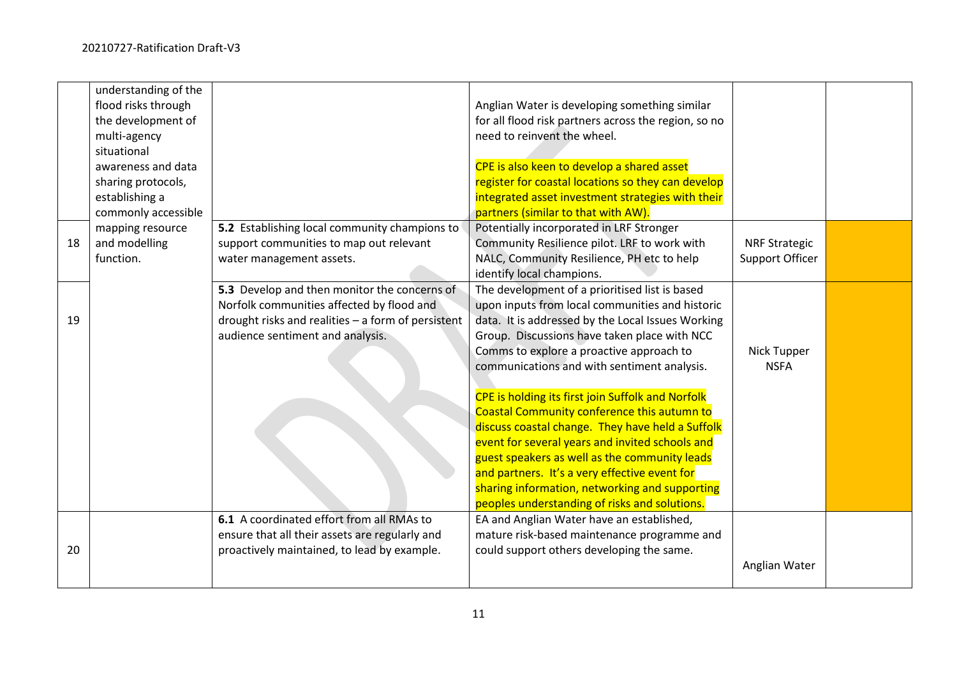|    | understanding of the<br>flood risks through<br>the development of<br>multi-agency<br>situational<br>awareness and data<br>sharing protocols,<br>establishing a<br>commonly accessible |                                                                                                                                                                                     | Anglian Water is developing something similar<br>for all flood risk partners across the region, so no<br>need to reinvent the wheel.<br>CPE is also keen to develop a shared asset<br>register for coastal locations so they can develop<br>integrated asset investment strategies with their<br>partners (similar to that with AW).                                                                                                                                                                                                                                                                                                                                                                              |                                         |  |
|----|---------------------------------------------------------------------------------------------------------------------------------------------------------------------------------------|-------------------------------------------------------------------------------------------------------------------------------------------------------------------------------------|-------------------------------------------------------------------------------------------------------------------------------------------------------------------------------------------------------------------------------------------------------------------------------------------------------------------------------------------------------------------------------------------------------------------------------------------------------------------------------------------------------------------------------------------------------------------------------------------------------------------------------------------------------------------------------------------------------------------|-----------------------------------------|--|
| 18 | mapping resource<br>and modelling<br>function.                                                                                                                                        | 5.2 Establishing local community champions to<br>support communities to map out relevant<br>water management assets.                                                                | Potentially incorporated in LRF Stronger<br>Community Resilience pilot. LRF to work with<br>NALC, Community Resilience, PH etc to help<br>identify local champions.                                                                                                                                                                                                                                                                                                                                                                                                                                                                                                                                               | <b>NRF Strategic</b><br>Support Officer |  |
| 19 |                                                                                                                                                                                       | 5.3 Develop and then monitor the concerns of<br>Norfolk communities affected by flood and<br>drought risks and realities - a form of persistent<br>audience sentiment and analysis. | The development of a prioritised list is based<br>upon inputs from local communities and historic<br>data. It is addressed by the Local Issues Working<br>Group. Discussions have taken place with NCC<br>Comms to explore a proactive approach to<br>communications and with sentiment analysis.<br>CPE is holding its first join Suffolk and Norfolk<br>Coastal Community conference this autumn to<br>discuss coastal change. They have held a Suffolk<br>event for several years and invited schools and<br>guest speakers as well as the community leads<br>and partners. It's a very effective event for<br>sharing information, networking and supporting<br>peoples understanding of risks and solutions. | Nick Tupper<br><b>NSFA</b>              |  |
| 20 |                                                                                                                                                                                       | 6.1 A coordinated effort from all RMAs to<br>ensure that all their assets are regularly and<br>proactively maintained, to lead by example.                                          | EA and Anglian Water have an established,<br>mature risk-based maintenance programme and<br>could support others developing the same.                                                                                                                                                                                                                                                                                                                                                                                                                                                                                                                                                                             | Anglian Water                           |  |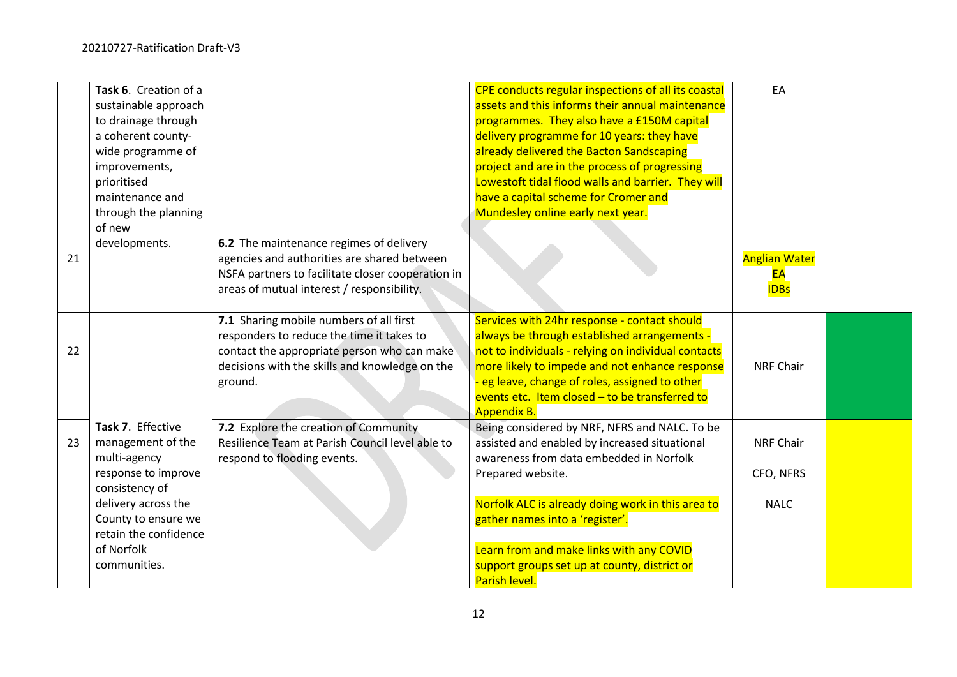|    | Task 6. Creation of a                 |                                                   | CPE conducts regular inspections of all its coastal                                  | EA                   |  |
|----|---------------------------------------|---------------------------------------------------|--------------------------------------------------------------------------------------|----------------------|--|
|    | sustainable approach                  |                                                   | assets and this informs their annual maintenance                                     |                      |  |
|    | to drainage through                   |                                                   | programmes. They also have a £150M capital                                           |                      |  |
|    | a coherent county-                    |                                                   | delivery programme for 10 years: they have                                           |                      |  |
|    | wide programme of                     |                                                   | already delivered the Bacton Sandscaping                                             |                      |  |
|    | improvements,                         |                                                   | project and are in the process of progressing                                        |                      |  |
|    | prioritised                           |                                                   | Lowestoft tidal flood walls and barrier. They will                                   |                      |  |
|    | maintenance and                       |                                                   | have a capital scheme for Cromer and                                                 |                      |  |
|    | through the planning                  |                                                   | Mundesley online early next year.                                                    |                      |  |
|    | of new                                |                                                   |                                                                                      |                      |  |
|    | developments.                         | 6.2 The maintenance regimes of delivery           |                                                                                      |                      |  |
| 21 |                                       | agencies and authorities are shared between       |                                                                                      | <b>Anglian Water</b> |  |
|    |                                       | NSFA partners to facilitate closer cooperation in |                                                                                      | EA                   |  |
|    |                                       | areas of mutual interest / responsibility.        |                                                                                      | <b>IDBs</b>          |  |
|    |                                       |                                                   |                                                                                      |                      |  |
|    |                                       | 7.1 Sharing mobile numbers of all first           | Services with 24hr response - contact should                                         |                      |  |
|    |                                       | responders to reduce the time it takes to         | always be through established arrangements -                                         |                      |  |
| 22 |                                       | contact the appropriate person who can make       | not to individuals - relying on individual contacts                                  |                      |  |
|    |                                       | decisions with the skills and knowledge on the    | more likely to impede and not enhance response                                       | <b>NRF Chair</b>     |  |
|    |                                       | ground.                                           | - eg leave, change of roles, assigned to other                                       |                      |  |
|    |                                       |                                                   | events etc. Item closed $-$ to be transferred to                                     |                      |  |
|    |                                       |                                                   | <b>Appendix B.</b>                                                                   |                      |  |
|    | Task 7. Effective                     | 7.2 Explore the creation of Community             | Being considered by NRF, NFRS and NALC. To be                                        |                      |  |
| 23 | management of the                     | Resilience Team at Parish Council level able to   | assisted and enabled by increased situational                                        | <b>NRF Chair</b>     |  |
|    | multi-agency                          | respond to flooding events.                       | awareness from data embedded in Norfolk                                              |                      |  |
|    | response to improve<br>consistency of |                                                   | Prepared website.                                                                    | CFO, NFRS            |  |
|    | delivery across the                   |                                                   |                                                                                      | <b>NALC</b>          |  |
|    | County to ensure we                   |                                                   | Norfolk ALC is already doing work in this area to<br>gather names into a 'register'. |                      |  |
|    | retain the confidence                 |                                                   |                                                                                      |                      |  |
|    | of Norfolk                            |                                                   | Learn from and make links with any COVID                                             |                      |  |
|    | communities.                          |                                                   | support groups set up at county, district or                                         |                      |  |
|    |                                       |                                                   | Parish level.                                                                        |                      |  |
|    |                                       |                                                   |                                                                                      |                      |  |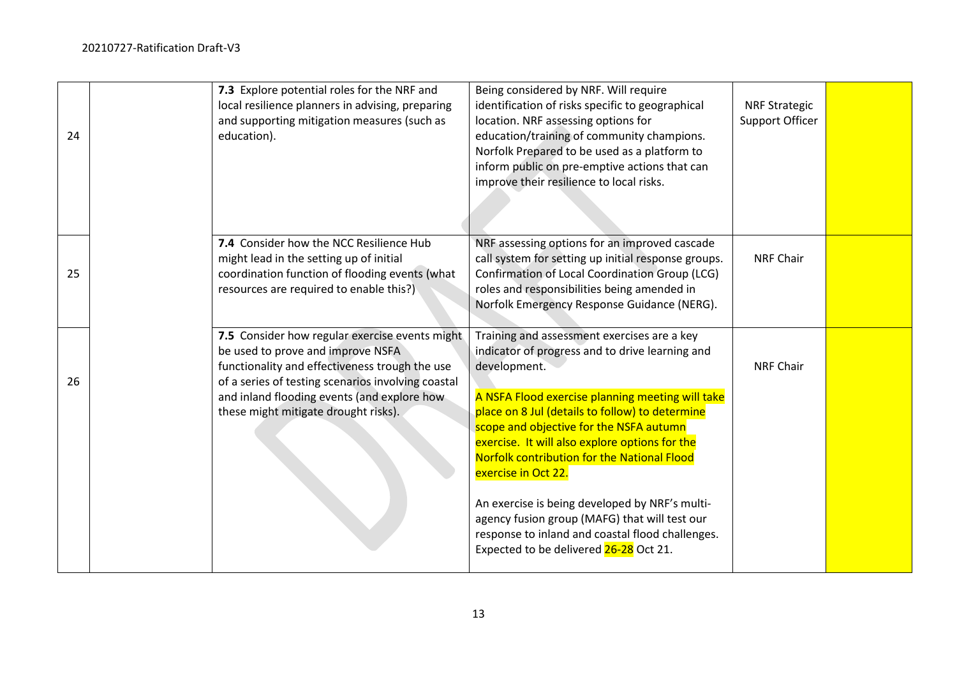| 24 | 7.3 Explore potential roles for the NRF and<br>local resilience planners in advising, preparing<br>and supporting mitigation measures (such as<br>education).                                                                                                                      | Being considered by NRF. Will require<br>identification of risks specific to geographical<br>location. NRF assessing options for<br>education/training of community champions.<br>Norfolk Prepared to be used as a platform to<br>inform public on pre-emptive actions that can<br>improve their resilience to local risks.                                                                                                                                                                                                                                                               | <b>NRF Strategic</b><br>Support Officer |  |
|----|------------------------------------------------------------------------------------------------------------------------------------------------------------------------------------------------------------------------------------------------------------------------------------|-------------------------------------------------------------------------------------------------------------------------------------------------------------------------------------------------------------------------------------------------------------------------------------------------------------------------------------------------------------------------------------------------------------------------------------------------------------------------------------------------------------------------------------------------------------------------------------------|-----------------------------------------|--|
| 25 | 7.4 Consider how the NCC Resilience Hub<br>might lead in the setting up of initial<br>coordination function of flooding events (what<br>resources are required to enable this?)                                                                                                    | NRF assessing options for an improved cascade<br>call system for setting up initial response groups.<br><b>Confirmation of Local Coordination Group (LCG)</b><br>roles and responsibilities being amended in<br>Norfolk Emergency Response Guidance (NERG).                                                                                                                                                                                                                                                                                                                               | <b>NRF Chair</b>                        |  |
| 26 | 7.5 Consider how regular exercise events might<br>be used to prove and improve NSFA<br>functionality and effectiveness trough the use<br>of a series of testing scenarios involving coastal<br>and inland flooding events (and explore how<br>these might mitigate drought risks). | Training and assessment exercises are a key<br>indicator of progress and to drive learning and<br>development.<br>A NSFA Flood exercise planning meeting will take<br>place on 8 Jul (details to follow) to determine<br>scope and objective for the NSFA autumn<br>exercise. It will also explore options for the<br>Norfolk contribution for the National Flood<br>exercise in Oct 22.<br>An exercise is being developed by NRF's multi-<br>agency fusion group (MAFG) that will test our<br>response to inland and coastal flood challenges.<br>Expected to be delivered 26-28 Oct 21. | <b>NRF Chair</b>                        |  |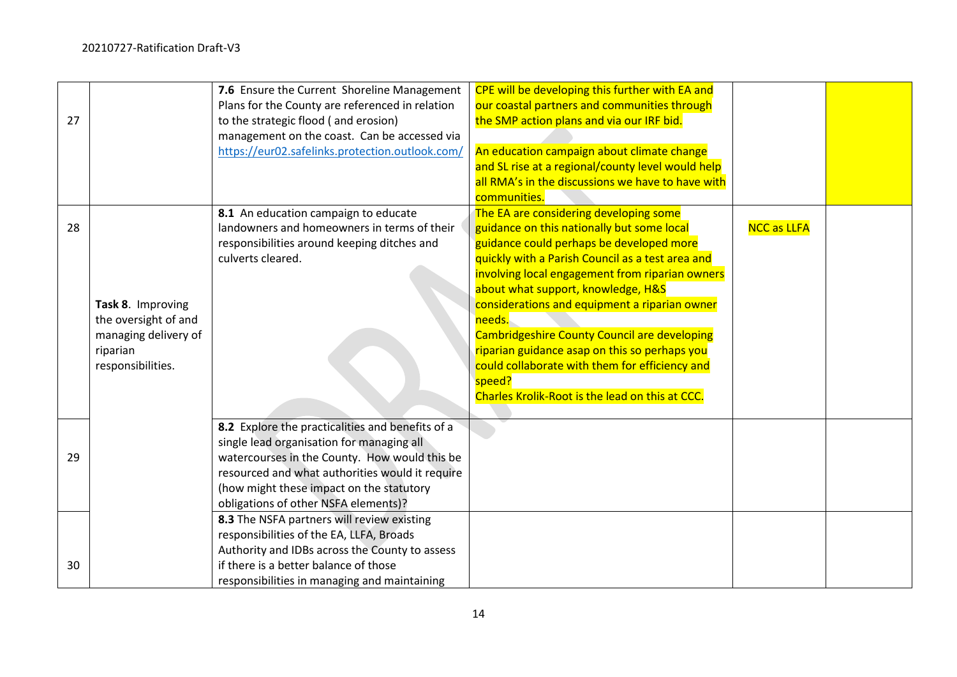| 27 |                                                                                                    | 7.6 Ensure the Current Shoreline Management<br>Plans for the County are referenced in relation<br>to the strategic flood (and erosion)<br>management on the coast. Can be accessed via<br>https://eur02.safelinks.protection.outlook.com/                                             | CPE will be developing this further with EA and<br>our coastal partners and communities through<br>the SMP action plans and via our IRF bid.<br>An education campaign about climate change<br>and SL rise at a regional/county level would help                                                                                                                                                                                                                                                                                                          |                    |  |
|----|----------------------------------------------------------------------------------------------------|---------------------------------------------------------------------------------------------------------------------------------------------------------------------------------------------------------------------------------------------------------------------------------------|----------------------------------------------------------------------------------------------------------------------------------------------------------------------------------------------------------------------------------------------------------------------------------------------------------------------------------------------------------------------------------------------------------------------------------------------------------------------------------------------------------------------------------------------------------|--------------------|--|
|    |                                                                                                    |                                                                                                                                                                                                                                                                                       | all RMA's in the discussions we have to have with<br>communities.                                                                                                                                                                                                                                                                                                                                                                                                                                                                                        |                    |  |
| 28 | Task 8. Improving<br>the oversight of and<br>managing delivery of<br>riparian<br>responsibilities. | 8.1 An education campaign to educate<br>landowners and homeowners in terms of their<br>responsibilities around keeping ditches and<br>culverts cleared.                                                                                                                               | The EA are considering developing some<br>guidance on this nationally but some local<br>guidance could perhaps be developed more<br>quickly with a Parish Council as a test area and<br>involving local engagement from riparian owners<br>about what support, knowledge, H&S<br>considerations and equipment a riparian owner<br>needs.<br>Cambridgeshire County Council are developing<br>riparian guidance asap on this so perhaps you<br>could collaborate with them for efficiency and<br>speed?<br>Charles Krolik-Root is the lead on this at CCC. | <b>NCC as LLFA</b> |  |
| 29 |                                                                                                    | 8.2 Explore the practicalities and benefits of a<br>single lead organisation for managing all<br>watercourses in the County. How would this be<br>resourced and what authorities would it require<br>(how might these impact on the statutory<br>obligations of other NSFA elements)? |                                                                                                                                                                                                                                                                                                                                                                                                                                                                                                                                                          |                    |  |
| 30 |                                                                                                    | 8.3 The NSFA partners will review existing<br>responsibilities of the EA, LLFA, Broads<br>Authority and IDBs across the County to assess<br>if there is a better balance of those<br>responsibilities in managing and maintaining                                                     |                                                                                                                                                                                                                                                                                                                                                                                                                                                                                                                                                          |                    |  |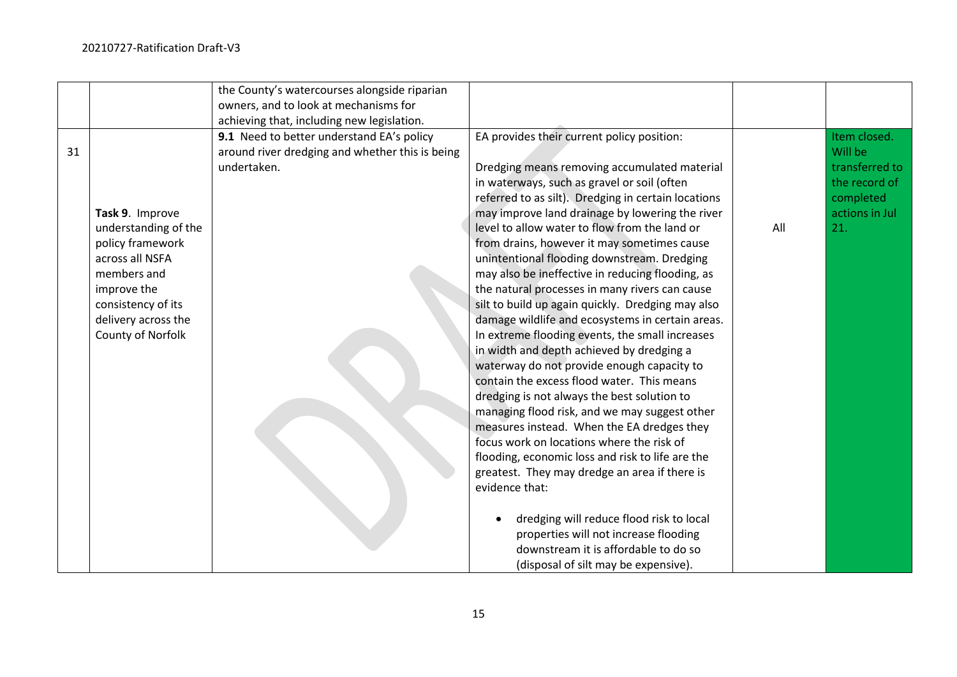|    |                      | the County's watercourses alongside riparian    |                                                     |     |                |
|----|----------------------|-------------------------------------------------|-----------------------------------------------------|-----|----------------|
|    |                      | owners, and to look at mechanisms for           |                                                     |     |                |
|    |                      | achieving that, including new legislation.      |                                                     |     |                |
|    |                      | 9.1 Need to better understand EA's policy       | EA provides their current policy position:          |     | Item closed.   |
| 31 |                      | around river dredging and whether this is being |                                                     |     | Will be        |
|    |                      | undertaken.                                     | Dredging means removing accumulated material        |     | transferred to |
|    |                      |                                                 | in waterways, such as gravel or soil (often         |     | the record of  |
|    |                      |                                                 | referred to as silt). Dredging in certain locations |     | completed      |
|    | Task 9. Improve      |                                                 | may improve land drainage by lowering the river     |     | actions in Jul |
|    | understanding of the |                                                 | level to allow water to flow from the land or       | All | 21.            |
|    | policy framework     |                                                 | from drains, however it may sometimes cause         |     |                |
|    | across all NSFA      |                                                 | unintentional flooding downstream. Dredging         |     |                |
|    | members and          |                                                 | may also be ineffective in reducing flooding, as    |     |                |
|    | improve the          |                                                 | the natural processes in many rivers can cause      |     |                |
|    | consistency of its   |                                                 | silt to build up again quickly. Dredging may also   |     |                |
|    | delivery across the  |                                                 | damage wildlife and ecosystems in certain areas.    |     |                |
|    | County of Norfolk    |                                                 | In extreme flooding events, the small increases     |     |                |
|    |                      |                                                 | in width and depth achieved by dredging a           |     |                |
|    |                      |                                                 | waterway do not provide enough capacity to          |     |                |
|    |                      |                                                 | contain the excess flood water. This means          |     |                |
|    |                      |                                                 | dredging is not always the best solution to         |     |                |
|    |                      |                                                 | managing flood risk, and we may suggest other       |     |                |
|    |                      |                                                 | measures instead. When the EA dredges they          |     |                |
|    |                      |                                                 | focus work on locations where the risk of           |     |                |
|    |                      |                                                 | flooding, economic loss and risk to life are the    |     |                |
|    |                      |                                                 | greatest. They may dredge an area if there is       |     |                |
|    |                      |                                                 | evidence that:                                      |     |                |
|    |                      |                                                 |                                                     |     |                |
|    |                      |                                                 | dredging will reduce flood risk to local            |     |                |
|    |                      |                                                 | properties will not increase flooding               |     |                |
|    |                      |                                                 | downstream it is affordable to do so                |     |                |
|    |                      |                                                 | (disposal of silt may be expensive).                |     |                |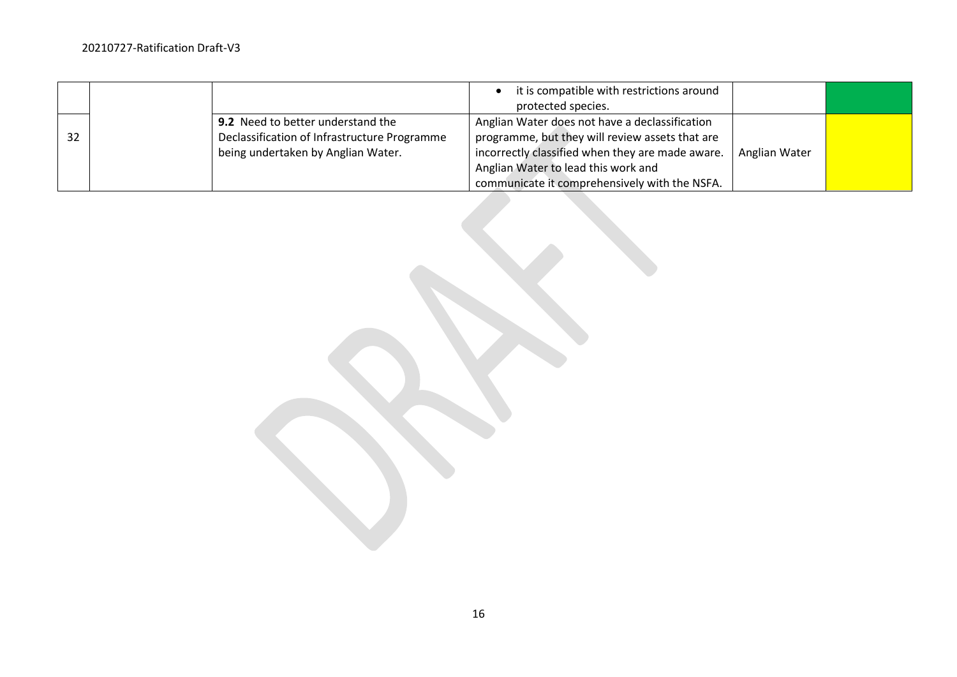|    |                                                                                                                         | it is compatible with restrictions around<br>protected species.                                                                                                                                                                               |               |  |
|----|-------------------------------------------------------------------------------------------------------------------------|-----------------------------------------------------------------------------------------------------------------------------------------------------------------------------------------------------------------------------------------------|---------------|--|
| 32 | 9.2 Need to better understand the<br>Declassification of Infrastructure Programme<br>being undertaken by Anglian Water. | Anglian Water does not have a declassification<br>programme, but they will review assets that are<br>incorrectly classified when they are made aware.<br>Anglian Water to lead this work and<br>communicate it comprehensively with the NSFA. | Anglian Water |  |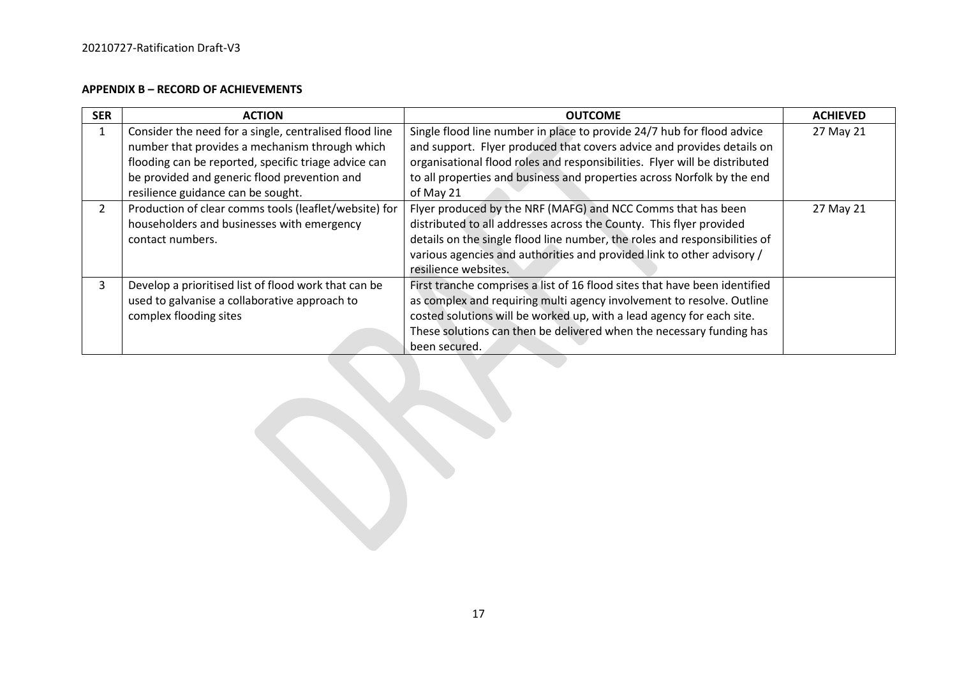### **APPENDIX B – RECORD OF ACHIEVEMENTS**

| <b>SER</b>    | <b>ACTION</b>                                          | <b>OUTCOME</b>                                                             | <b>ACHIEVED</b> |
|---------------|--------------------------------------------------------|----------------------------------------------------------------------------|-----------------|
|               | Consider the need for a single, centralised flood line | Single flood line number in place to provide 24/7 hub for flood advice     | 27 May 21       |
|               | number that provides a mechanism through which         | and support. Flyer produced that covers advice and provides details on     |                 |
|               | flooding can be reported, specific triage advice can   | organisational flood roles and responsibilities. Flyer will be distributed |                 |
|               | be provided and generic flood prevention and           | to all properties and business and properties across Norfolk by the end    |                 |
|               | resilience guidance can be sought.                     | of May 21                                                                  |                 |
| $\mathcal{L}$ | Production of clear comms tools (leaflet/website) for  | Flyer produced by the NRF (MAFG) and NCC Comms that has been               | 27 May 21       |
|               | householders and businesses with emergency             | distributed to all addresses across the County. This flyer provided        |                 |
|               | contact numbers.                                       | details on the single flood line number, the roles and responsibilities of |                 |
|               |                                                        | various agencies and authorities and provided link to other advisory /     |                 |
|               |                                                        | resilience websites.                                                       |                 |
| 3             | Develop a prioritised list of flood work that can be   | First tranche comprises a list of 16 flood sites that have been identified |                 |
|               | used to galvanise a collaborative approach to          | as complex and requiring multi agency involvement to resolve. Outline      |                 |
|               | complex flooding sites                                 | costed solutions will be worked up, with a lead agency for each site.      |                 |
|               |                                                        | These solutions can then be delivered when the necessary funding has       |                 |
|               |                                                        | been secured.                                                              |                 |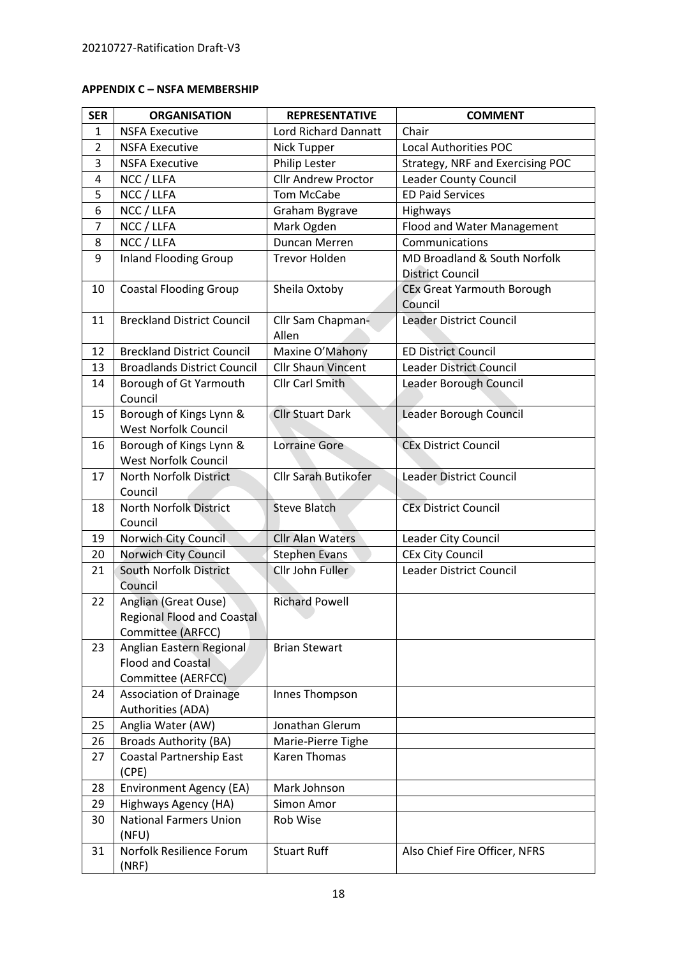# **APPENDIX C – NSFA MEMBERSHIP**

| <b>SER</b>     | <b>ORGANISATION</b>                                                            | <b>REPRESENTATIVE</b>       | <b>COMMENT</b>                                          |
|----------------|--------------------------------------------------------------------------------|-----------------------------|---------------------------------------------------------|
| $\mathbf{1}$   | <b>NSFA Executive</b>                                                          | <b>Lord Richard Dannatt</b> | Chair                                                   |
| $\overline{2}$ | <b>NSFA Executive</b>                                                          | Nick Tupper                 | <b>Local Authorities POC</b>                            |
| 3              | <b>NSFA Executive</b>                                                          | Philip Lester               | Strategy, NRF and Exercising POC                        |
| 4              | NCC / LLFA                                                                     | <b>Cllr Andrew Proctor</b>  | Leader County Council                                   |
| 5              | NCC / LLFA                                                                     | <b>Tom McCabe</b>           | <b>ED Paid Services</b>                                 |
| 6              | NCC / LLFA                                                                     | Graham Bygrave              | Highways                                                |
| $\overline{7}$ | NCC / LLFA                                                                     | Mark Ogden                  | Flood and Water Management                              |
| 8              | NCC / LLFA                                                                     | Duncan Merren               | Communications                                          |
| 9              | <b>Inland Flooding Group</b>                                                   | <b>Trevor Holden</b>        | MD Broadland & South Norfolk<br><b>District Council</b> |
| 10             | <b>Coastal Flooding Group</b>                                                  | Sheila Oxtoby               | <b>CEx Great Yarmouth Borough</b>                       |
|                |                                                                                |                             | Council                                                 |
| 11             | <b>Breckland District Council</b>                                              | Cllr Sam Chapman-           | <b>Leader District Council</b>                          |
|                |                                                                                | Allen                       |                                                         |
| 12             | <b>Breckland District Council</b>                                              | Maxine O'Mahony             | <b>ED District Council</b>                              |
| 13             | <b>Broadlands District Council</b>                                             | <b>Cllr Shaun Vincent</b>   | <b>Leader District Council</b>                          |
| 14             | Borough of Gt Yarmouth<br>Council                                              | <b>Cllr Carl Smith</b>      | Leader Borough Council                                  |
| 15             | Borough of Kings Lynn &<br><b>West Norfolk Council</b>                         | <b>Cllr Stuart Dark</b>     | Leader Borough Council                                  |
| 16             | Borough of Kings Lynn &<br><b>West Norfolk Council</b>                         | <b>Lorraine Gore</b>        | <b>CEx District Council</b>                             |
| 17             | North Norfolk District                                                         | <b>Cllr Sarah Butikofer</b> | <b>Leader District Council</b>                          |
|                | Council                                                                        |                             |                                                         |
| 18             | North Norfolk District<br>Council                                              | <b>Steve Blatch</b>         | <b>CEx District Council</b>                             |
| 19             | Norwich City Council                                                           | <b>Cllr Alan Waters</b>     | Leader City Council                                     |
| 20             | Norwich City Council                                                           | <b>Stephen Evans</b>        | <b>CEx City Council</b>                                 |
| 21             | South Norfolk District<br>Council                                              | Cllr John Fuller            | Leader District Council                                 |
| 22             | Anglian (Great Ouse)<br><b>Regional Flood and Coastal</b><br>Committee (ARFCC) | <b>Richard Powell</b>       |                                                         |
| 23             | Anglian Eastern Regional<br><b>Flood and Coastal</b><br>Committee (AERFCC)     | <b>Brian Stewart</b>        |                                                         |
| 24             | <b>Association of Drainage</b><br>Authorities (ADA)                            | Innes Thompson              |                                                         |
| 25             | Anglia Water (AW)                                                              | Jonathan Glerum             |                                                         |
| 26             | <b>Broads Authority (BA)</b>                                                   | Marie-Pierre Tighe          |                                                         |
| 27             | <b>Coastal Partnership East</b><br>(CPE)                                       | <b>Karen Thomas</b>         |                                                         |
| 28             | Environment Agency (EA)                                                        | Mark Johnson                |                                                         |
| 29             | Highways Agency (HA)                                                           | Simon Amor                  |                                                         |
| 30             | <b>National Farmers Union</b><br>(NFU)                                         | Rob Wise                    |                                                         |
| 31             | Norfolk Resilience Forum<br>(NRF)                                              | <b>Stuart Ruff</b>          | Also Chief Fire Officer, NFRS                           |